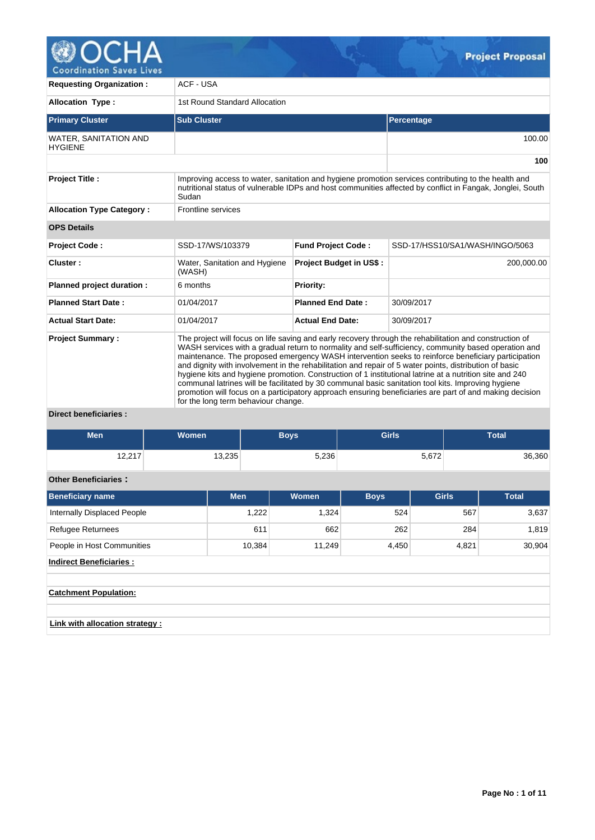

| <b>Requesting Organization:</b>                | <b>ACF - USA</b>                                                                                                                                                                                                                                                                                                                                                                                                                                                                                                                                                                                                                                                                                                                                                                                   |                                |                                 |  |  |  |  |  |  |  |  |
|------------------------------------------------|----------------------------------------------------------------------------------------------------------------------------------------------------------------------------------------------------------------------------------------------------------------------------------------------------------------------------------------------------------------------------------------------------------------------------------------------------------------------------------------------------------------------------------------------------------------------------------------------------------------------------------------------------------------------------------------------------------------------------------------------------------------------------------------------------|--------------------------------|---------------------------------|--|--|--|--|--|--|--|--|
| <b>Allocation Type:</b>                        | 1st Round Standard Allocation                                                                                                                                                                                                                                                                                                                                                                                                                                                                                                                                                                                                                                                                                                                                                                      |                                |                                 |  |  |  |  |  |  |  |  |
| <b>Primary Cluster</b>                         | <b>Sub Cluster</b>                                                                                                                                                                                                                                                                                                                                                                                                                                                                                                                                                                                                                                                                                                                                                                                 |                                | Percentage                      |  |  |  |  |  |  |  |  |
| <b>WATER, SANITATION AND</b><br><b>HYGIENE</b> |                                                                                                                                                                                                                                                                                                                                                                                                                                                                                                                                                                                                                                                                                                                                                                                                    | 100.00                         |                                 |  |  |  |  |  |  |  |  |
|                                                |                                                                                                                                                                                                                                                                                                                                                                                                                                                                                                                                                                                                                                                                                                                                                                                                    |                                | 100                             |  |  |  |  |  |  |  |  |
| <b>Project Title:</b>                          | Improving access to water, sanitation and hygiene promotion services contributing to the health and<br>nutritional status of vulnerable IDPs and host communities affected by conflict in Fangak, Jonglei, South<br>Sudan                                                                                                                                                                                                                                                                                                                                                                                                                                                                                                                                                                          |                                |                                 |  |  |  |  |  |  |  |  |
| <b>Allocation Type Category:</b>               | Frontline services                                                                                                                                                                                                                                                                                                                                                                                                                                                                                                                                                                                                                                                                                                                                                                                 |                                |                                 |  |  |  |  |  |  |  |  |
| <b>OPS Details</b>                             |                                                                                                                                                                                                                                                                                                                                                                                                                                                                                                                                                                                                                                                                                                                                                                                                    |                                |                                 |  |  |  |  |  |  |  |  |
| Project Code:                                  | SSD-17/WS/103379                                                                                                                                                                                                                                                                                                                                                                                                                                                                                                                                                                                                                                                                                                                                                                                   | <b>Fund Project Code:</b>      | SSD-17/HSS10/SA1/WASH/INGO/5063 |  |  |  |  |  |  |  |  |
| Cluster:                                       | Water, Sanitation and Hygiene<br>(WASH)                                                                                                                                                                                                                                                                                                                                                                                                                                                                                                                                                                                                                                                                                                                                                            | <b>Project Budget in US\$:</b> | 200,000.00                      |  |  |  |  |  |  |  |  |
| Planned project duration :                     | 6 months                                                                                                                                                                                                                                                                                                                                                                                                                                                                                                                                                                                                                                                                                                                                                                                           | Priority:                      |                                 |  |  |  |  |  |  |  |  |
| <b>Planned Start Date:</b>                     | 01/04/2017                                                                                                                                                                                                                                                                                                                                                                                                                                                                                                                                                                                                                                                                                                                                                                                         | <b>Planned End Date:</b>       | 30/09/2017                      |  |  |  |  |  |  |  |  |
| <b>Actual Start Date:</b>                      | 01/04/2017                                                                                                                                                                                                                                                                                                                                                                                                                                                                                                                                                                                                                                                                                                                                                                                         | <b>Actual End Date:</b>        | 30/09/2017                      |  |  |  |  |  |  |  |  |
| <b>Project Summary:</b><br>.                   | The project will focus on life saving and early recovery through the rehabilitation and construction of<br>WASH services with a gradual return to normality and self-sufficiency, community based operation and<br>maintenance. The proposed emergency WASH intervention seeks to reinforce beneficiary participation<br>and dignity with involvement in the rehabilitation and repair of 5 water points, distribution of basic<br>hygiene kits and hygiene promotion. Construction of 1 institutional latrine at a nutrition site and 240<br>communal latrines will be facilitated by 30 communal basic sanitation tool kits. Improving hygiene<br>promotion will focus on a participatory approach ensuring beneficiaries are part of and making decision<br>for the long term behaviour change. |                                |                                 |  |  |  |  |  |  |  |  |

### **Direct beneficiaries :**

| Men               | Women <sup>1</sup> | Boys  | <b>Girls</b> | <b>Total</b> |
|-------------------|--------------------|-------|--------------|--------------|
| 10.017<br>14.A 17 | 13,235             | 5,236 | 5,672        | 36,360       |

# **Other Beneficiaries :**

| Beneficiary name                      | <b>Men</b> | Women  | <b>Boys</b> | <b>Girls</b> | <b>Total</b> |  |  |  |  |  |  |  |  |
|---------------------------------------|------------|--------|-------------|--------------|--------------|--|--|--|--|--|--|--|--|
| Internally Displaced People           | 1,222      | 1,324  | 524         | 567          | 3,637        |  |  |  |  |  |  |  |  |
| <b>Refugee Returnees</b>              | 611        | 662    | 262         | 284          | 1,819        |  |  |  |  |  |  |  |  |
| People in Host Communities            | 10,384     | 11,249 | 4,450       | 4,821        | 30,904       |  |  |  |  |  |  |  |  |
| <b>Indirect Beneficiaries:</b>        |            |        |             |              |              |  |  |  |  |  |  |  |  |
|                                       |            |        |             |              |              |  |  |  |  |  |  |  |  |
| <b>Catchment Population:</b>          |            |        |             |              |              |  |  |  |  |  |  |  |  |
|                                       |            |        |             |              |              |  |  |  |  |  |  |  |  |
| <b>Link with allocation strategy:</b> |            |        |             |              |              |  |  |  |  |  |  |  |  |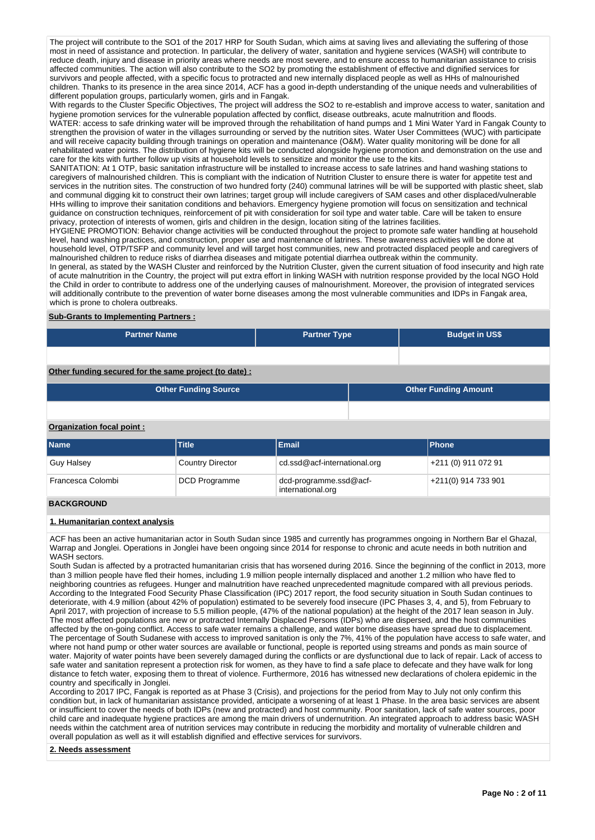The project will contribute to the SO1 of the 2017 HRP for South Sudan, which aims at saving lives and alleviating the suffering of those most in need of assistance and protection. In particular, the delivery of water, sanitation and hygiene services (WASH) will contribute to reduce death, injury and disease in priority areas where needs are most severe, and to ensure access to humanitarian assistance to crisis affected communities. The action will also contribute to the SO2 by promoting the establishment of effective and dignified services for survivors and people affected, with a specific focus to protracted and new internally displaced people as well as HHs of malnourished children. Thanks to its presence in the area since 2014, ACF has a good in-depth understanding of the unique needs and vulnerabilities of different population groups, particularly women, girls and in Fangak.

With regards to the Cluster Specific Objectives, The project will address the SO2 to re-establish and improve access to water, sanitation and hygiene promotion services for the vulnerable population affected by conflict, disease outbreaks, acute malnutrition and floods. WATER: access to safe drinking water will be improved through the rehabilitation of hand pumps and 1 Mini Water Yard in Fangak County to strengthen the provision of water in the villages surrounding or served by the nutrition sites. Water User Committees (WUC) with participate and will receive capacity building through trainings on operation and maintenance (O&M). Water quality monitoring will be done for all rehabilitated water points. The distribution of hygiene kits will be conducted alongside hygiene promotion and demonstration on the use and care for the kits with further follow up visits at household levels to sensitize and monitor the use to the kits.

SANITATION: At 1 OTP, basic sanitation infrastructure will be installed to increase access to safe latrines and hand washing stations to caregivers of malnourished children. This is compliant with the indication of Nutrition Cluster to ensure there is water for appetite test and services in the nutrition sites. The construction of two hundred forty (240) communal latrines will be will be supported with plastic sheet, slab and communal digging kit to construct their own latrines; target group will include caregivers of SAM cases and other displaced/vulnerable HHs willing to improve their sanitation conditions and behaviors. Emergency hygiene promotion will focus on sensitization and technical guidance on construction techniques, reinforcement of pit with consideration for soil type and water table. Care will be taken to ensure privacy, protection of interests of women, girls and children in the design, location siting of the latrines facilities.

HYGIENE PROMOTION: Behavior change activities will be conducted throughout the project to promote safe water handling at household level, hand washing practices, and construction, proper use and maintenance of latrines. These awareness activities will be done at household level, OTP/TSFP and community level and will target host communities, new and protracted displaced people and caregivers of malnourished children to reduce risks of diarrhea diseases and mitigate potential diarrhea outbreak within the community.

In general, as stated by the WASH Cluster and reinforced by the Nutrition Cluster, given the current situation of food insecurity and high rate of acute malnutrition in the Country, the project will put extra effort in linking WASH with nutrition response provided by the local NGO Hold the Child in order to contribute to address one of the underlying causes of malnourishment. Moreover, the provision of integrated services will additionally contribute to the prevention of water borne diseases among the most vulnerable communities and IDPs in Fangak area, which is prone to cholera outbreaks.

### **Sub-Grants to Implementing Partners :**

| <b>Partner Name</b> | <b>Partner Type</b> | <b>Budget in US\$</b> |
|---------------------|---------------------|-----------------------|
|                     |                     |                       |

**Other funding secured for the same project (to date) :**

| <b>Other Funding Source</b> | <b>Other Funding Amount</b> |
|-----------------------------|-----------------------------|
|                             |                             |

## **Organization focal point :**

| <b>Name</b>       | <b>Title</b>            | <b>Email</b>                                | <b>Phone</b>          |
|-------------------|-------------------------|---------------------------------------------|-----------------------|
| Guy Halsey        | <b>Country Director</b> | cd.ssd@acf-international.org                | +211 (0) 911 072 91   |
| Francesca Colombi | <b>DCD Programme</b>    | dcd-programme.ssd@acf-<br>international.org | $+211(0)$ 914 733 901 |

## **BACKGROUND**

### **1. Humanitarian context analysis**

ACF has been an active humanitarian actor in South Sudan since 1985 and currently has programmes ongoing in Northern Bar el Ghazal, Warrap and Jonglei. Operations in Jonglei have been ongoing since 2014 for response to chronic and acute needs in both nutrition and WASH sectors.

South Sudan is affected by a protracted humanitarian crisis that has worsened during 2016. Since the beginning of the conflict in 2013, more than 3 million people have fled their homes, including 1.9 million people internally displaced and another 1.2 million who have fled to neighboring countries as refugees. Hunger and malnutrition have reached unprecedented magnitude compared with all previous periods. According to the Integrated Food Security Phase Classification (IPC) 2017 report, the food security situation in South Sudan continues to deteriorate, with 4.9 million (about 42% of population) estimated to be severely food insecure (IPC Phases 3, 4, and 5), from February to April 2017, with projection of increase to 5.5 million people, (47% of the national population) at the height of the 2017 lean season in July. The most affected populations are new or protracted Internally Displaced Persons (IDPs) who are dispersed, and the host communities affected by the on-going conflict. Access to safe water remains a challenge, and water borne diseases have spread due to displacement. The percentage of South Sudanese with access to improved sanitation is only the 7%, 41% of the population have access to safe water, and where not hand pump or other water sources are available or functional, people is reported using streams and ponds as main source of water. Majority of water points have been severely damaged during the conflicts or are dysfunctional due to lack of repair. Lack of access to safe water and sanitation represent a protection risk for women, as they have to find a safe place to defecate and they have walk for long distance to fetch water, exposing them to threat of violence. Furthermore, 2016 has witnessed new declarations of cholera epidemic in the country and specifically in Jonglei.

According to 2017 IPC, Fangak is reported as at Phase 3 (Crisis), and projections for the period from May to July not only confirm this condition but, in lack of humanitarian assistance provided, anticipate a worsening of at least 1 Phase. In the area basic services are absent or insufficient to cover the needs of both IDPs (new and protracted) and host community. Poor sanitation, lack of safe water sources, poor child care and inadequate hygiene practices are among the main drivers of undernutrition. An integrated approach to address basic WASH needs within the catchment area of nutrition services may contribute in reducing the morbidity and mortality of vulnerable children and overall population as well as it will establish dignified and effective services for survivors.

### **2. Needs assessment**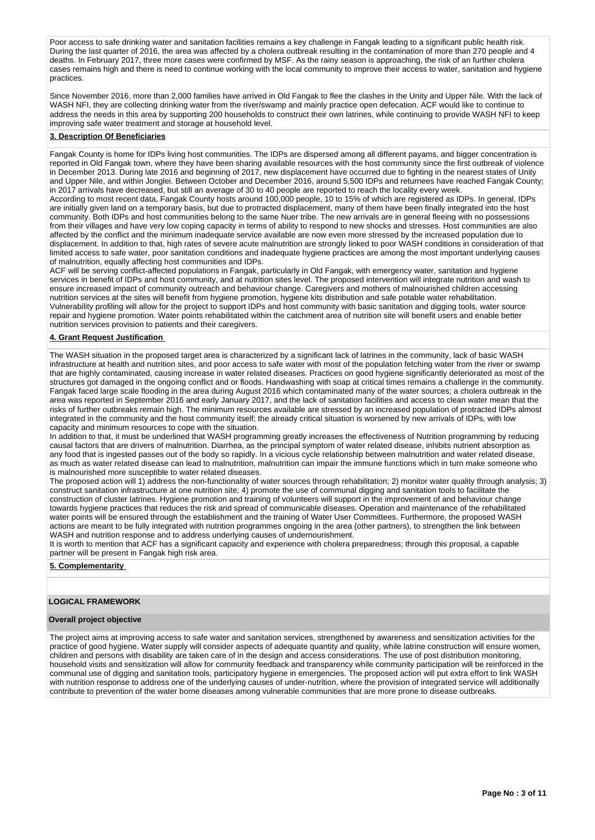Poor access to safe drinking water and sanitation facilities remains a key challenge in Fangak leading to a significant public health risk. During the last quarter of 2016, the area was affected by a cholera outbreak resulting in the contamination of more than 270 people and 4 deaths. In February 2017, three more cases were confirmed by MSF. As the rainy season is approaching, the risk of an further cholera cases remains high and there is need to continue working with the local community to improve their access to water, sanitation and hygiene practices.

Since November 2016, more than 2,000 families have arrived in Old Fangak to flee the clashes in the Unity and Upper Nile. With the lack of WASH NFI, they are collecting drinking water from the river/swamp and mainly practice open defecation. ACF would like to continue to address the needs in this area by supporting 200 households to construct their own latrines, while continuing to provide WASH NFI to keep improving safe water treatment and storage at household level.

#### **3. Description Of Beneficiaries**

Fangak County is home for IDPs living host communities. The IDPs are dispersed among all different payams, and bigger concentration is reported in Old Fangak town, where they have been sharing available resources with the host community since the first outbreak of violence in December 2013. During late 2016 and beginning of 2017, new displacement have occurred due to fighting in the nearest states of Unity and Upper Nile, and within Jonglei. Between October and December 2016, around 5,500 IDPs and returnees have reached Fangak County; in 2017 arrivals have decreased, but still an average of 30 to 40 people are reported to reach the locality every week. According to most recent data, Fangak County hosts around 100,000 people, 10 to 15% of which are registered as IDPs. In general, IDPs are initially given land on a temporary basis, but due to protracted displacement, many of them have been finally integrated into the host community. Both IDPs and host communities belong to the same Nuer tribe. The new arrivals are in general fleeing with no possessions from their villages and have very low coping capacity in terms of ability to respond to new shocks and stresses. Host communities are also affected by the conflict and the minimum inadequate service available are now even more stressed by the increased population due to displacement. In addition to that, high rates of severe acute malnutrition are strongly linked to poor WASH conditions in consideration of that limited access to safe water, poor sanitation conditions and inadequate hygiene practices are among the most important underlying causes of malnutrition, equally affecting host communities and IDPs.

ACF will be serving conflict-affected populations in Fangak, particularly in Old Fangak, with emergency water, sanitation and hygiene services in benefit of IDPs and host community, and at nutrition sites level. The proposed intervention will integrate nutrition and wash to ensure increased impact of community outreach and behaviour change. Caregivers and mothers of malnourished children accessing nutrition services at the sites will benefit from hygiene promotion, hygiene kits distribution and safe potable water rehabilitation. Vulnerability profiling will allow for the project to support IDPs and host community with basic sanitation and digging tools, water source repair and hygiene promotion. Water points rehabilitated within the catchment area of nutrition site will benefit users and enable better nutrition services provision to patients and their caregivers.

### **4. Grant Request Justification**

The WASH situation in the proposed target area is characterized by a significant lack of latrines in the community, lack of basic WASH infrastructure at health and nutrition sites, and poor access to safe water with most of the population fetching water from the river or swamp that are highly contaminated, causing increase in water related diseases. Practices on good hygiene significantly deteriorated as most of the structures got damaged in the ongoing conflict and or floods. Handwashing with soap at critical times remains a challenge in the community. Fangak faced large scale flooding in the area during August 2016 which contaminated many of the water sources; a cholera outbreak in the area was reported in September 2016 and early January 2017, and the lack of sanitation facilities and access to clean water mean that the risks of further outbreaks remain high. The minimum resources available are stressed by an increased population of protracted IDPs almost integrated in the community and the host community itself; the already critical situation is worsened by new arrivals of IDPs, with low capacity and minimum resources to cope with the situation.

In addition to that, it must be underlined that WASH programming greatly increases the effectiveness of Nutrition programming by reducing causal factors that are drivers of malnutrition. Diarrhea, as the principal symptom of water related disease, inhibits nutrient absorption as any food that is ingested passes out of the body so rapidly. In a vicious cycle relationship between malnutrition and water related disease, as much as water related disease can lead to malnutrition, malnutrition can impair the immune functions which in turn make someone who is malnourished more susceptible to water related diseases.

The proposed action will 1) address the non-functionality of water sources through rehabilitation; 2) monitor water quality through analysis; 3) construct sanitation infrastructure at one nutrition site; 4) promote the use of communal digging and sanitation tools to facilitate the construction of cluster latrines. Hygiene promotion and training of volunteers will support in the improvement of and behaviour change towards hygiene practices that reduces the risk and spread of communicable diseases. Operation and maintenance of the rehabilitated water points will be ensured through the establishment and the training of Water User Committees. Furthermore, the proposed WASH actions are meant to be fully integrated with nutrition programmes ongoing in the area (other partners), to strengthen the link between WASH and nutrition response and to address underlying causes of undernourishment.

It is worth to mention that ACF has a significant capacity and experience with cholera preparedness; through this proposal, a capable partner will be present in Fangak high risk area.

#### **5. Complementarity**

### **LOGICAL FRAMEWORK**

#### **Overall project objective**

The project aims at improving access to safe water and sanitation services, strengthened by awareness and sensitization activities for the practice of good hygiene. Water supply will consider aspects of adequate quantity and quality, while latrine construction will ensure women, children and persons with disability are taken care of in the design and access considerations. The use of post distribution monitoring, household visits and sensitization will allow for community feedback and transparency while community participation will be reinforced in the communal use of digging and sanitation tools, participatory hygiene in emergencies. The proposed action will put extra effort to link WASH with nutrition response to address one of the underlying causes of under-nutrition, where the provision of integrated service will additionally contribute to prevention of the water borne diseases among vulnerable communities that are more prone to disease outbreaks.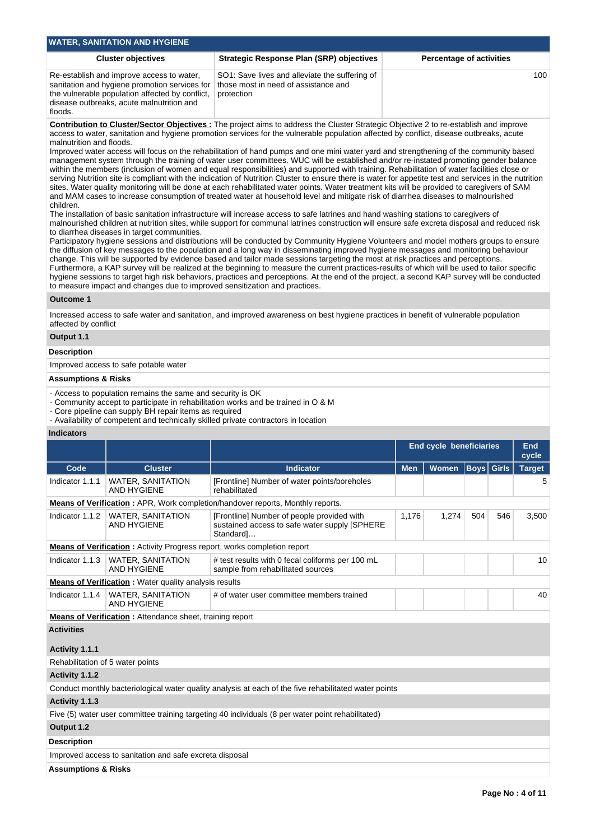| <b>Cluster objectives</b>                                                                                                                                                                                                                                                                                                                                                                                                                                                                                                                                                                                                                                                                                                                                                                                                                                                                                                                                                                                                                                                                                                                                                                      | <b>Strategic Response Plan (SRP) objectives</b>                                                      | <b>Percentage of activities</b> |  |  |  |  |  |  |  |
|------------------------------------------------------------------------------------------------------------------------------------------------------------------------------------------------------------------------------------------------------------------------------------------------------------------------------------------------------------------------------------------------------------------------------------------------------------------------------------------------------------------------------------------------------------------------------------------------------------------------------------------------------------------------------------------------------------------------------------------------------------------------------------------------------------------------------------------------------------------------------------------------------------------------------------------------------------------------------------------------------------------------------------------------------------------------------------------------------------------------------------------------------------------------------------------------|------------------------------------------------------------------------------------------------------|---------------------------------|--|--|--|--|--|--|--|
| Re-establish and improve access to water,<br>sanitation and hygiene promotion services for<br>the vulnerable population affected by conflict,<br>disease outbreaks, acute malnutrition and<br>floods.                                                                                                                                                                                                                                                                                                                                                                                                                                                                                                                                                                                                                                                                                                                                                                                                                                                                                                                                                                                          | SO1: Save lives and alleviate the suffering of<br>those most in need of assistance and<br>protection | 100                             |  |  |  |  |  |  |  |
| <b>Contribution to Cluster/Sector Objectives:</b> The project aims to address the Cluster Strategic Objective 2 to re-establish and improve<br>access to water, sanitation and hygiene promotion services for the vulnerable population affected by conflict, disease outbreaks, acute<br>malnutrition and floods.<br>Improved water access will focus on the rehabilitation of hand pumps and one mini water yard and strengthening of the community based<br>management system through the training of water user committees. WUC will be established and/or re-instated promoting gender balance<br>within the members (inclusion of women and equal responsibilities) and supported with training. Rehabilitation of water facilities close or<br>serving Nutrition site is compliant with the indication of Nutrition Cluster to ensure there is water for appetite test and services in the nutrition<br>sites. Water quality monitoring will be done at each rehabilitated water points. Water treatment kits will be provided to caregivers of SAM<br>and MAM cases to increase consumption of treated water at household level and mitigate risk of diarrhea diseases to malnourished |                                                                                                      |                                 |  |  |  |  |  |  |  |

malnourished children at nutrition sites, while support for communal latrines construction will ensure safe excreta disposal and reduced risk to diarrhea diseases in target communities.

Participatory hygiene sessions and distributions will be conducted by Community Hygiene Volunteers and model mothers groups to ensure the diffusion of key messages to the population and a long way in disseminating improved hygiene messages and monitoring behaviour change. This will be supported by evidence based and tailor made sessions targeting the most at risk practices and perceptions. Furthermore, a KAP survey will be realized at the beginning to measure the current practices-results of which will be used to tailor specific hygiene sessions to target high risk behaviors, practices and perceptions. At the end of the project, a second KAP survey will be conducted to measure impact and changes due to improved sensitization and practices.

### **Outcome 1**

Increased access to safe water and sanitation, and improved awareness on best hygiene practices in benefit of vulnerable population affected by conflict

## **Output 1.1**

### **Description**

Improved access to safe potable water

# **Assumptions & Risks**

- Access to population remains the same and security is OK

- Community accept to participate in rehabilitation works and be trained in O & M

- Core pipeline can supply BH repair items as required

- Availability of competent and technically skilled private contractors in location

### **Indicators**

|                                     |                                                                                 | <b>End cycle beneficiaries</b>                                                                           |            |       |                   |     | <b>End</b><br>cycle |
|-------------------------------------|---------------------------------------------------------------------------------|----------------------------------------------------------------------------------------------------------|------------|-------|-------------------|-----|---------------------|
| Code                                | <b>Cluster</b>                                                                  | <b>Indicator</b>                                                                                         | <b>Men</b> | Women | <b>Boys</b> Girls |     | <b>Target</b>       |
| Indicator 1.1.1                     | <b>WATER, SANITATION</b><br><b>AND HYGIENE</b>                                  | [Frontline] Number of water points/boreholes<br>rehabilitated                                            |            |       |                   |     | 5                   |
|                                     |                                                                                 | Means of Verification: APR, Work completion/handover reports, Monthly reports.                           |            |       |                   |     |                     |
| Indicator 1.1.2                     | <b>WATER, SANITATION</b><br><b>AND HYGIENE</b>                                  | [Frontline] Number of people provided with<br>sustained access to safe water supply [SPHERE<br>Standard] | 1,176      | 1,274 | 504               | 546 | 3,500               |
|                                     | <b>Means of Verification:</b> Activity Progress report, works completion report |                                                                                                          |            |       |                   |     |                     |
| Indicator 1.1.3                     | <b>WATER, SANITATION</b><br><b>AND HYGIENE</b>                                  | # test results with 0 fecal coliforms per 100 mL<br>sample from rehabilitated sources                    |            |       |                   |     | 10                  |
|                                     | <b>Means of Verification:</b> Water quality analysis results                    |                                                                                                          |            |       |                   |     |                     |
| Indicator 1.1.4                     | <b>WATER, SANITATION</b><br><b>AND HYGIENE</b>                                  | # of water user committee members trained                                                                |            |       |                   |     | 40                  |
|                                     | Means of Verification: Attendance sheet, training report                        |                                                                                                          |            |       |                   |     |                     |
| <b>Activities</b><br>Activity 1.1.1 |                                                                                 |                                                                                                          |            |       |                   |     |                     |
| Rehabilitation of 5 water points    |                                                                                 |                                                                                                          |            |       |                   |     |                     |
| Activity 1.1.2                      |                                                                                 |                                                                                                          |            |       |                   |     |                     |
|                                     |                                                                                 | Conduct monthly bacteriological water quality analysis at each of the five rehabilitated water points    |            |       |                   |     |                     |
| Activity 1.1.3                      |                                                                                 |                                                                                                          |            |       |                   |     |                     |
|                                     |                                                                                 | Five (5) water user committee training targeting 40 individuals (8 per water point rehabilitated)        |            |       |                   |     |                     |
| Output 1.2                          |                                                                                 |                                                                                                          |            |       |                   |     |                     |
| <b>Description</b>                  |                                                                                 |                                                                                                          |            |       |                   |     |                     |
|                                     | Improved access to sanitation and safe excreta disposal                         |                                                                                                          |            |       |                   |     |                     |
| <b>Assumptions &amp; Risks</b>      |                                                                                 |                                                                                                          |            |       |                   |     |                     |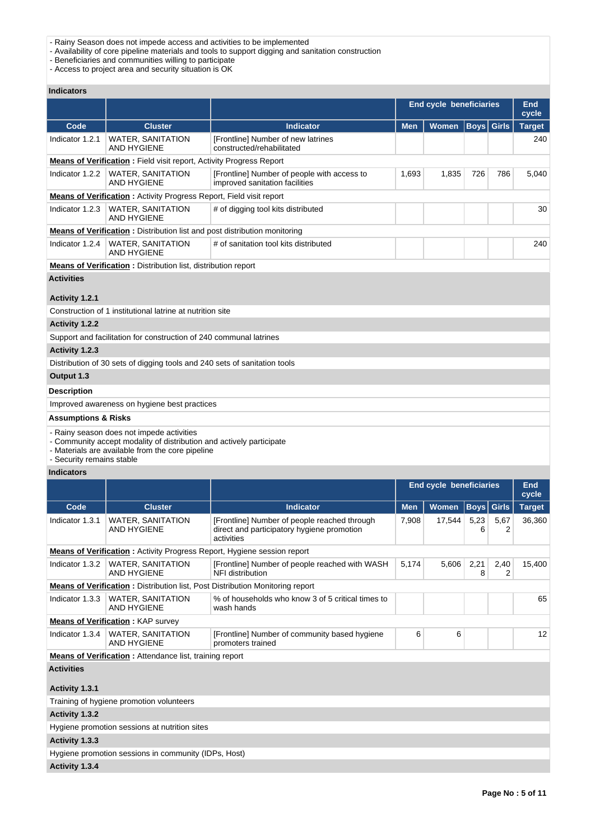- Rainy Season does not impede access and activities to be implemented
- Availability of core pipeline materials and tools to support digging and sanitation construction

- Beneficiaries and communities willing to participate

- Access to project area and security situation is OK

## **Indicators**

|                                |                                                                                                                                                                       |                                                                                                          | <b>End cycle beneficiaries</b> |                                |                   |              | End<br>cycle        |
|--------------------------------|-----------------------------------------------------------------------------------------------------------------------------------------------------------------------|----------------------------------------------------------------------------------------------------------|--------------------------------|--------------------------------|-------------------|--------------|---------------------|
| Code                           | <b>Cluster</b>                                                                                                                                                        | <b>Indicator</b>                                                                                         | <b>Men</b>                     | <b>Women</b>                   | <b>Boys</b> Girls |              | <b>Target</b>       |
| Indicator 1.2.1                | WATER, SANITATION<br><b>AND HYGIENE</b>                                                                                                                               | [Frontline] Number of new latrines<br>constructed/rehabilitated                                          |                                |                                |                   |              | 240                 |
|                                | <b>Means of Verification</b> : Field visit report, Activity Progress Report                                                                                           |                                                                                                          |                                |                                |                   |              |                     |
| Indicator 1.2.2                | <b>WATER, SANITATION</b><br><b>AND HYGIENE</b>                                                                                                                        | 1,693                                                                                                    | 1,835                          | 726                            | 786               | 5,040        |                     |
|                                | <b>Means of Verification:</b> Activity Progress Report, Field visit report                                                                                            |                                                                                                          |                                |                                |                   |              |                     |
| Indicator 1.2.3                | WATER, SANITATION<br><b>AND HYGIENE</b>                                                                                                                               |                                                                                                          |                                |                                |                   | 30           |                     |
|                                | <b>Means of Verification:</b> Distribution list and post distribution monitoring                                                                                      |                                                                                                          |                                |                                |                   |              |                     |
| Indicator 1.2.4                | <b>WATER, SANITATION</b><br><b>AND HYGIENE</b>                                                                                                                        | # of sanitation tool kits distributed                                                                    |                                |                                |                   |              | 240                 |
|                                | <b>Means of Verification:</b> Distribution list, distribution report                                                                                                  |                                                                                                          |                                |                                |                   |              |                     |
| <b>Activities</b>              |                                                                                                                                                                       |                                                                                                          |                                |                                |                   |              |                     |
| Activity 1.2.1                 |                                                                                                                                                                       |                                                                                                          |                                |                                |                   |              |                     |
|                                | Construction of 1 institutional latrine at nutrition site                                                                                                             |                                                                                                          |                                |                                |                   |              |                     |
| Activity 1.2.2                 |                                                                                                                                                                       |                                                                                                          |                                |                                |                   |              |                     |
|                                | Support and facilitation for construction of 240 communal latrines                                                                                                    |                                                                                                          |                                |                                |                   |              |                     |
| Activity 1.2.3                 |                                                                                                                                                                       |                                                                                                          |                                |                                |                   |              |                     |
|                                | Distribution of 30 sets of digging tools and 240 sets of sanitation tools                                                                                             |                                                                                                          |                                |                                |                   |              |                     |
| Output 1.3                     |                                                                                                                                                                       |                                                                                                          |                                |                                |                   |              |                     |
| <b>Description</b>             |                                                                                                                                                                       |                                                                                                          |                                |                                |                   |              |                     |
|                                | Improved awareness on hygiene best practices                                                                                                                          |                                                                                                          |                                |                                |                   |              |                     |
| <b>Assumptions &amp; Risks</b> |                                                                                                                                                                       |                                                                                                          |                                |                                |                   |              |                     |
| - Security remains stable      | - Rainy season does not impede activities<br>- Community accept modality of distribution and actively participate<br>- Materials are available from the core pipeline |                                                                                                          |                                |                                |                   |              |                     |
| <b>Indicators</b>              |                                                                                                                                                                       |                                                                                                          |                                |                                |                   |              |                     |
|                                |                                                                                                                                                                       |                                                                                                          |                                | <b>End cycle beneficiaries</b> |                   |              | <b>End</b><br>cycle |
| Code                           | <b>Cluster</b>                                                                                                                                                        | <b>Indicator</b>                                                                                         | <b>Men</b>                     | <b>Women</b>                   | <b>Boys</b>       | <b>Girls</b> | <b>Target</b>       |
| Indicator 1.3.1                | WATER, SANITATION<br>AND HYGIENE                                                                                                                                      | [Frontline] Number of people reached through<br>direct and participatory hygiene promotion<br>activities | 7,908                          | 17,544                         | 5,23<br>6         | 5,67<br>2    | 36,360              |
|                                | <b>Means of Verification:</b> Activity Progress Report, Hygiene session report                                                                                        |                                                                                                          |                                |                                |                   |              |                     |
| Indicator 1.3.2                | <b>WATER, SANITATION</b><br><b>AND HYGIENE</b>                                                                                                                        | [Frontline] Number of people reached with WASH<br>NFI distribution                                       | 5,174                          | 5,606                          | 2,21<br>8         | 2,40<br>2    | 15,400              |
|                                | <b>Means of Verification:</b> Distribution list, Post Distribution Monitoring report                                                                                  |                                                                                                          |                                |                                |                   |              |                     |
| Indicator 1.3.3                | <b>WATER, SANITATION</b><br><b>AND HYGIENE</b>                                                                                                                        | % of households who know 3 of 5 critical times to<br>wash hands                                          |                                |                                |                   |              | 65                  |
|                                | <b>Means of Verification: KAP survey</b>                                                                                                                              |                                                                                                          |                                |                                |                   |              |                     |
| Indicator 1.3.4                | <b>WATER, SANITATION</b><br>AND HYGIENE                                                                                                                               | [Frontline] Number of community based hygiene<br>promoters trained                                       | 6                              | 6                              |                   |              | 12                  |
|                                | <b>Means of Verification:</b> Attendance list, training report                                                                                                        |                                                                                                          |                                |                                |                   |              |                     |
| <b>Activities</b>              |                                                                                                                                                                       |                                                                                                          |                                |                                |                   |              |                     |
| Activity 1.3.1                 |                                                                                                                                                                       |                                                                                                          |                                |                                |                   |              |                     |
|                                | Training of hygiene promotion volunteers                                                                                                                              |                                                                                                          |                                |                                |                   |              |                     |
| Activity 1.3.2                 | Hygiene promotion sessions at nutrition sites                                                                                                                         |                                                                                                          |                                |                                |                   |              |                     |
| Activity 1.3.3                 |                                                                                                                                                                       |                                                                                                          |                                |                                |                   |              |                     |
|                                | Hygiene promotion sessions in community (IDPs, Host)                                                                                                                  |                                                                                                          |                                |                                |                   |              |                     |
| Activity 1.3.4                 |                                                                                                                                                                       |                                                                                                          |                                |                                |                   |              |                     |
|                                |                                                                                                                                                                       |                                                                                                          |                                |                                |                   |              |                     |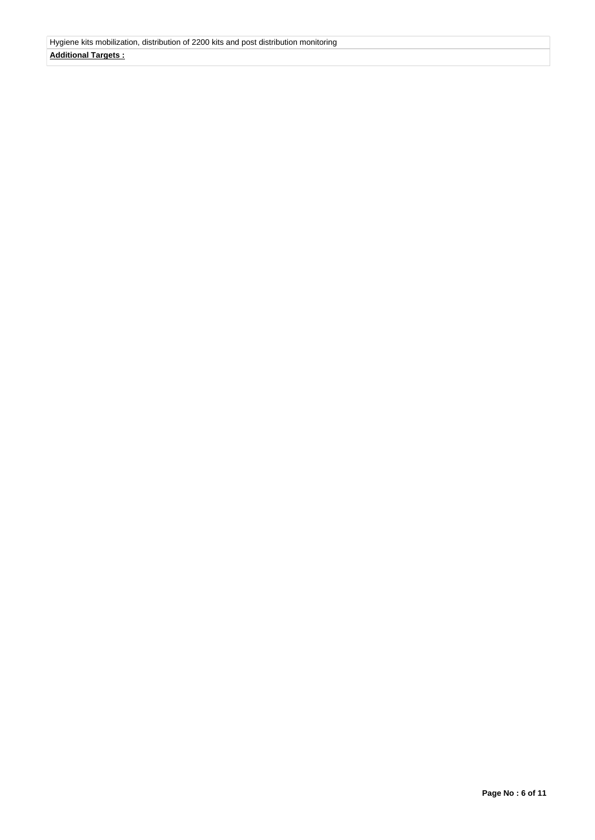# **Additional Targets :**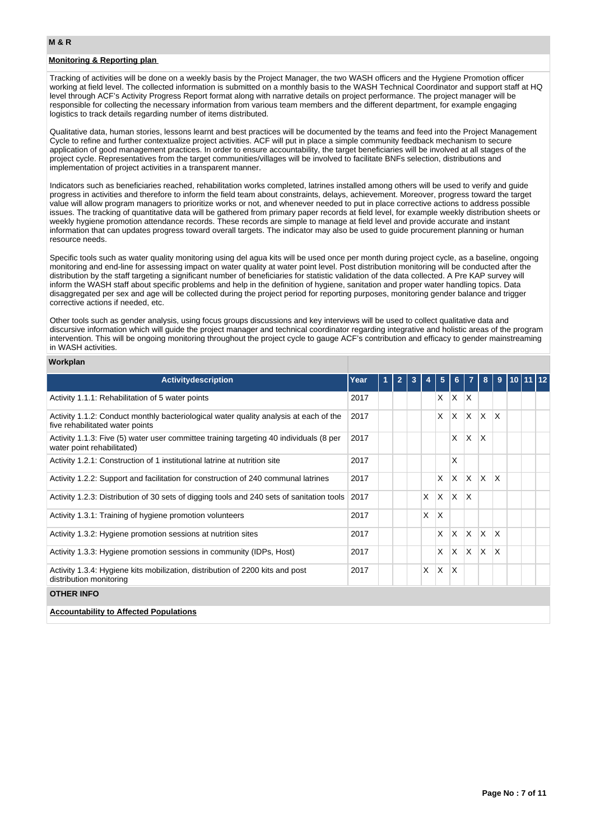## **Monitoring & Reporting plan**

Tracking of activities will be done on a weekly basis by the Project Manager, the two WASH officers and the Hygiene Promotion officer working at field level. The collected information is submitted on a monthly basis to the WASH Technical Coordinator and support staff at HQ level through ACF's Activity Progress Report format along with narrative details on project performance. The project manager will be responsible for collecting the necessary information from various team members and the different department, for example engaging logistics to track details regarding number of items distributed.

Qualitative data, human stories, lessons learnt and best practices will be documented by the teams and feed into the Project Management Cycle to refine and further contextualize project activities. ACF will put in place a simple community feedback mechanism to secure application of good management practices. In order to ensure accountability, the target beneficiaries will be involved at all stages of the project cycle. Representatives from the target communities/villages will be involved to facilitate BNFs selection, distributions and implementation of project activities in a transparent manner.

Indicators such as beneficiaries reached, rehabilitation works completed, latrines installed among others will be used to verify and guide progress in activities and therefore to inform the field team about constraints, delays, achievement. Moreover, progress toward the target value will allow program managers to prioritize works or not, and whenever needed to put in place corrective actions to address possible issues. The tracking of quantitative data will be gathered from primary paper records at field level, for example weekly distribution sheets or weekly hygiene promotion attendance records. These records are simple to manage at field level and provide accurate and instant information that can updates progress toward overall targets. The indicator may also be used to guide procurement planning or human resource needs.

Specific tools such as water quality monitoring using del agua kits will be used once per month during project cycle, as a baseline, ongoing monitoring and end-line for assessing impact on water quality at water point level. Post distribution monitoring will be conducted after the distribution by the staff targeting a significant number of beneficiaries for statistic validation of the data collected. A Pre KAP survey will inform the WASH staff about specific problems and help in the definition of hygiene, sanitation and proper water handling topics. Data disaggregated per sex and age will be collected during the project period for reporting purposes, monitoring gender balance and trigger corrective actions if needed, etc.

Other tools such as gender analysis, using focus groups discussions and key interviews will be used to collect qualitative data and discursive information which will guide the project manager and technical coordinator regarding integrative and holistic areas of the program intervention. This will be ongoing monitoring throughout the project cycle to gauge ACF's contribution and efficacy to gender mainstreaming in WASH activities.

#### **Workplan**

| <b>Activitydescription</b>                                                                                               | Year | $\mathbf{2}$ |   | 5        | 6.           |              | 8            | 9        | 10 I |  |
|--------------------------------------------------------------------------------------------------------------------------|------|--------------|---|----------|--------------|--------------|--------------|----------|------|--|
| Activity 1.1.1: Rehabilitation of 5 water points                                                                         | 2017 |              |   | X        | X            | ΙX           |              |          |      |  |
| Activity 1.1.2: Conduct monthly bacteriological water quality analysis at each of the<br>five rehabilitated water points | 2017 |              |   | X        | $\mathsf{x}$ | <sup>X</sup> | $\mathsf{X}$ | $\times$ |      |  |
| Activity 1.1.3: Five (5) water user committee training targeting 40 individuals (8 per<br>water point rehabilitated)     | 2017 |              |   |          | X            | <sup>X</sup> | X            |          |      |  |
| Activity 1.2.1: Construction of 1 institutional latrine at nutrition site                                                | 2017 |              |   |          | X            |              |              |          |      |  |
| Activity 1.2.2: Support and facilitation for construction of 240 communal latrines                                       | 2017 |              |   | X        | X            | X            | ΙX.          | X        |      |  |
| Activity 1.2.3: Distribution of 30 sets of digging tools and 240 sets of sanitation tools                                | 2017 |              | X | $\times$ | X            | X            |              |          |      |  |
| Activity 1.3.1: Training of hygiene promotion volunteers                                                                 | 2017 |              | X | X        |              |              |              |          |      |  |
| Activity 1.3.2: Hygiene promotion sessions at nutrition sites                                                            | 2017 |              |   | X        | $\times$     | X            | ΙX.          | X        |      |  |
| Activity 1.3.3: Hygiene promotion sessions in community (IDPs, Host)                                                     | 2017 |              |   | X        | $\times$     | <sup>X</sup> | ΙX.          | $\times$ |      |  |
| Activity 1.3.4: Hygiene kits mobilization, distribution of 2200 kits and post<br>distribution monitoring                 | 2017 |              | X | X        | X            |              |              |          |      |  |
| <b>OTHER INFO</b>                                                                                                        |      |              |   |          |              |              |              |          |      |  |
| <b>Accountability to Affected Populations</b>                                                                            |      |              |   |          |              |              |              |          |      |  |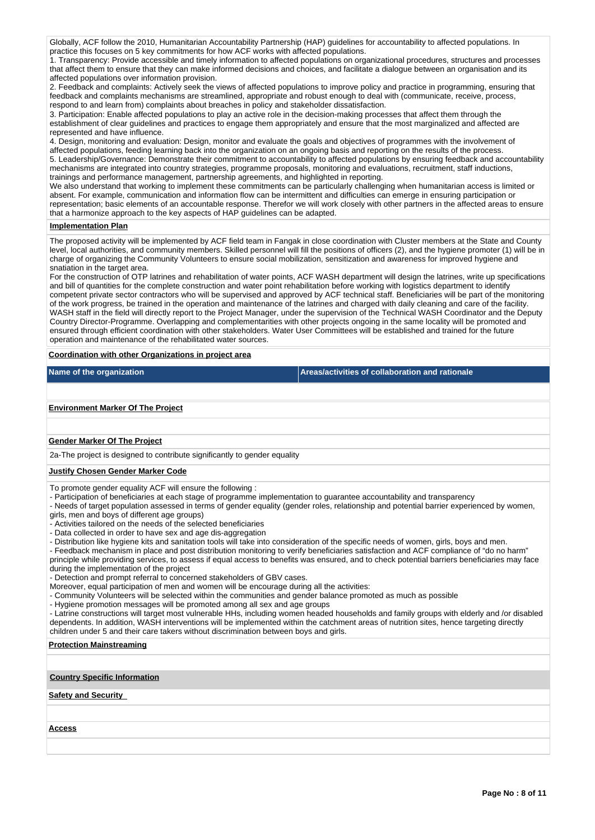Globally, ACF follow the 2010, Humanitarian Accountability Partnership (HAP) guidelines for accountability to affected populations. In practice this focuses on 5 key commitments for how ACF works with affected populations.

1. Transparency: Provide accessible and timely information to affected populations on organizational procedures, structures and processes that affect them to ensure that they can make informed decisions and choices, and facilitate a dialogue between an organisation and its affected populations over information provision.

2. Feedback and complaints: Actively seek the views of affected populations to improve policy and practice in programming, ensuring that feedback and complaints mechanisms are streamlined, appropriate and robust enough to deal with (communicate, receive, process, respond to and learn from) complaints about breaches in policy and stakeholder dissatisfaction.

3. Participation: Enable affected populations to play an active role in the decision-making processes that affect them through the establishment of clear guidelines and practices to engage them appropriately and ensure that the most marginalized and affected are represented and have influence.

4. Design, monitoring and evaluation: Design, monitor and evaluate the goals and objectives of programmes with the involvement of affected populations, feeding learning back into the organization on an ongoing basis and reporting on the results of the process. 5. Leadership/Governance: Demonstrate their commitment to accountability to affected populations by ensuring feedback and accountability mechanisms are integrated into country strategies, programme proposals, monitoring and evaluations, recruitment, staff inductions, trainings and performance management, partnership agreements, and highlighted in reporting.

We also understand that working to implement these commitments can be particularly challenging when humanitarian access is limited or absent. For example, communication and information flow can be intermittent and difficulties can emerge in ensuring participation or representation; basic elements of an accountable response. Therefor we will work closely with other partners in the affected areas to ensure that a harmonize approach to the key aspects of HAP guidelines can be adapted.

#### **Implementation Plan**

The proposed activity will be implemented by ACF field team in Fangak in close coordination with Cluster members at the State and County level, local authorities, and community members. Skilled personnel will fill the positions of officers (2), and the hygiene promoter (1) will be in charge of organizing the Community Volunteers to ensure social mobilization, sensitization and awareness for improved hygiene and snatiation in the target area.

For the construction of OTP latrines and rehabilitation of water points, ACF WASH department will design the latrines, write up specifications and bill of quantities for the complete construction and water point rehabilitation before working with logistics department to identify competent private sector contractors who will be supervised and approved by ACF technical staff. Beneficiaries will be part of the monitoring of the work progress, be trained in the operation and maintenance of the latrines and charged with daily cleaning and care of the facility. WASH staff in the field will directly report to the Project Manager, under the supervision of the Technical WASH Coordinator and the Deputy Country Director-Programme. Overlapping and complementarities with other projects ongoing in the same locality will be promoted and ensured through efficient coordination with other stakeholders. Water User Committees will be established and trained for the future operation and maintenance of the rehabilitated water sources.

### **Coordination with other Organizations in project area**

**Name of the organization Areas/activities of collaboration and rationale** 

#### **Environment Marker Of The Project**

### **Gender Marker Of The Project**

2a-The project is designed to contribute significantly to gender equality

#### **Justify Chosen Gender Marker Code**

To promote gender equality ACF will ensure the following :

- Participation of beneficiaries at each stage of programme implementation to guarantee accountability and transparency

- Needs of target population assessed in terms of gender equality (gender roles, relationship and potential barrier experienced by women, girls, men and boys of different age groups)

- Activities tailored on the needs of the selected beneficiaries

- Data collected in order to have sex and age dis-aggregation

- Distribution like hygiene kits and sanitation tools will take into consideration of the specific needs of women, girls, boys and men.

- Feedback mechanism in place and post distribution monitoring to verify beneficiaries satisfaction and ACF compliance of "do no harm"

principle while providing services, to assess if equal access to benefits was ensured, and to check potential barriers beneficiaries may face during the implementation of the project

- Detection and prompt referral to concerned stakeholders of GBV cases.

Moreover, equal participation of men and women will be encourage during all the activities:

- Community Volunteers will be selected within the communities and gender balance promoted as much as possible

- Hygiene promotion messages will be promoted among all sex and age groups

- Latrine constructions will target most vulnerable HHs, including women headed households and family groups with elderly and /or disabled dependents. In addition, WASH interventions will be implemented within the catchment areas of nutrition sites, hence targeting directly children under 5 and their care takers without discrimination between boys and girls.

### **Protection Mainstreaming**

#### **Country Specific Information**

# **Safety and Security**

#### **Access**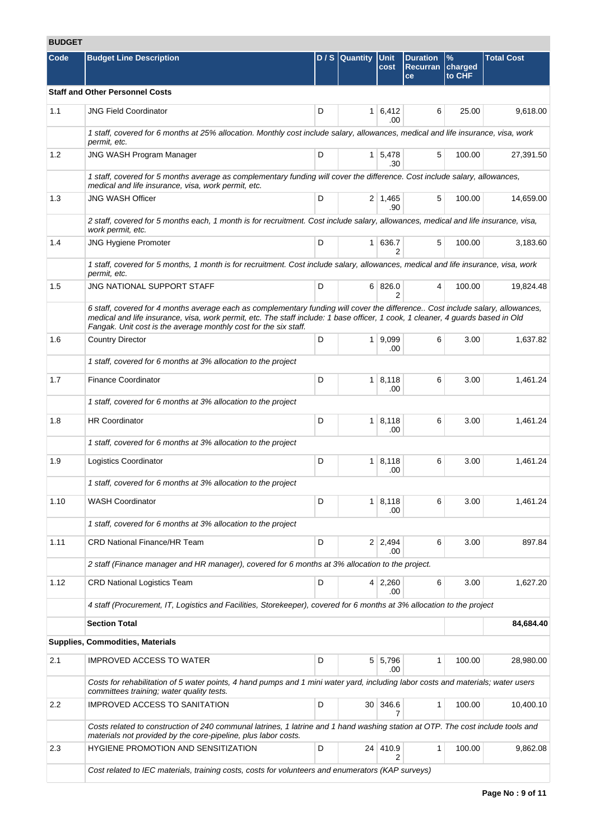# **BUDGET**

| Code    | <b>Budget Line Description</b>                                                                                                                                                                                                                                                                                                        |   | $D/S$ Quantity | <b>Unit</b><br>cost           | <b>Duration</b><br><b>Recurran</b><br>ce | %<br>charged<br>to CHF | <b>Total Cost</b> |
|---------|---------------------------------------------------------------------------------------------------------------------------------------------------------------------------------------------------------------------------------------------------------------------------------------------------------------------------------------|---|----------------|-------------------------------|------------------------------------------|------------------------|-------------------|
|         | <b>Staff and Other Personnel Costs</b>                                                                                                                                                                                                                                                                                                |   |                |                               |                                          |                        |                   |
| 1.1     | <b>JNG Field Coordinator</b>                                                                                                                                                                                                                                                                                                          | D |                | $1 \vert 6,412 \vert$<br>.00. | 6                                        | 25.00                  | 9,618.00          |
|         | 1 staff, covered for 6 months at 25% allocation. Monthly cost include salary, allowances, medical and life insurance, visa, work<br>permit, etc.                                                                                                                                                                                      |   |                |                               |                                          |                        |                   |
| 1.2     | <b>JNG WASH Program Manager</b>                                                                                                                                                                                                                                                                                                       | D |                | 1 5.478<br>.30                | 5                                        | 100.00                 | 27,391.50         |
|         | 1 staff, covered for 5 months average as complementary funding will cover the difference. Cost include salary, allowances,<br>medical and life insurance, visa, work permit, etc.                                                                                                                                                     |   |                |                               |                                          |                        |                   |
| 1.3     | <b>JNG WASH Officer</b>                                                                                                                                                                                                                                                                                                               | D |                | $2 \mid 1,465$<br>.90         | 5                                        | 100.00                 | 14,659.00         |
|         | 2 staff, covered for 5 months each, 1 month is for recruitment. Cost include salary, allowances, medical and life insurance, visa,<br>work permit, etc.                                                                                                                                                                               |   |                |                               |                                          |                        |                   |
| 1.4     | <b>JNG Hygiene Promoter</b>                                                                                                                                                                                                                                                                                                           | D |                | 1 636.7<br>$\overline{2}$     | 5                                        | 100.00                 | 3,183.60          |
|         | 1 staff, covered for 5 months, 1 month is for recruitment. Cost include salary, allowances, medical and life insurance, visa, work<br>permit, etc.                                                                                                                                                                                    |   |                |                               |                                          |                        |                   |
| 1.5     | <b>JNG NATIONAL SUPPORT STAFF</b>                                                                                                                                                                                                                                                                                                     | D |                | 6 826.0<br>2                  | 4                                        | 100.00                 | 19,824.48         |
|         | 6 staff, covered for 4 months average each as complementary funding will cover the difference Cost include salary, allowances,<br>medical and life insurance, visa, work permit, etc. The staff include: 1 base officer, 1 cook, 1 cleaner, 4 guards based in Old<br>Fangak. Unit cost is the average monthly cost for the six staff. |   |                |                               |                                          |                        |                   |
| 1.6     | <b>Country Director</b>                                                                                                                                                                                                                                                                                                               | D |                | 1   9,099<br>.00              | 6                                        | 3.00                   | 1,637.82          |
|         | 1 staff, covered for 6 months at 3% allocation to the project                                                                                                                                                                                                                                                                         |   |                |                               |                                          |                        |                   |
| 1.7     | <b>Finance Coordinator</b>                                                                                                                                                                                                                                                                                                            | D |                | 1   8,118<br>.00              | 6                                        | 3.00                   | 1,461.24          |
|         | 1 staff, covered for 6 months at 3% allocation to the project                                                                                                                                                                                                                                                                         |   |                |                               |                                          |                        |                   |
| 1.8     | <b>HR Coordinator</b>                                                                                                                                                                                                                                                                                                                 | D |                | 1   8,118<br>.00              | 6                                        | 3.00                   | 1,461.24          |
|         | 1 staff, covered for 6 months at 3% allocation to the project                                                                                                                                                                                                                                                                         |   |                |                               |                                          |                        |                   |
| 1.9     | Logistics Coordinator                                                                                                                                                                                                                                                                                                                 | D |                | 1   8,118<br>.00              | 6                                        | 3.00                   | 1,461.24          |
|         | 1 staff, covered for 6 months at 3% allocation to the project                                                                                                                                                                                                                                                                         |   |                |                               |                                          |                        |                   |
| 1.10    | <b>WASH Coordinator</b>                                                                                                                                                                                                                                                                                                               | D |                | 1   8,118<br>.00              | 6                                        | 3.00                   | 1,461.24          |
|         | 1 staff, covered for 6 months at 3% allocation to the project                                                                                                                                                                                                                                                                         |   |                |                               |                                          |                        |                   |
| 1.11    | <b>CRD National Finance/HR Team</b>                                                                                                                                                                                                                                                                                                   | D |                | $2 \mid 2,494$<br>.00         | 6                                        | 3.00                   | 897.84            |
|         | 2 staff (Finance manager and HR manager), covered for 6 months at 3% allocation to the project.                                                                                                                                                                                                                                       |   |                |                               |                                          |                        |                   |
| 1.12    | <b>CRD National Logistics Team</b>                                                                                                                                                                                                                                                                                                    | D |                | $4 \mid 2,260$<br>.00         | 6                                        | 3.00                   | 1,627.20          |
|         | 4 staff (Procurement, IT, Logistics and Facilities, Storekeeper), covered for 6 months at 3% allocation to the project                                                                                                                                                                                                                |   |                |                               |                                          |                        |                   |
|         | <b>Section Total</b>                                                                                                                                                                                                                                                                                                                  |   |                |                               |                                          |                        | 84,684.40         |
|         | Supplies, Commodities, Materials                                                                                                                                                                                                                                                                                                      |   |                |                               |                                          |                        |                   |
| 2.1     | <b>IMPROVED ACCESS TO WATER</b>                                                                                                                                                                                                                                                                                                       | D |                | $5 \mid 5,796$<br>.00         | 1                                        | 100.00                 | 28,980.00         |
|         | Costs for rehabilitation of 5 water points, 4 hand pumps and 1 mini water yard, including labor costs and materials; water users<br>committees training; water quality tests.                                                                                                                                                         |   |                |                               |                                          |                        |                   |
| $2.2\,$ | <b>IMPROVED ACCESS TO SANITATION</b>                                                                                                                                                                                                                                                                                                  | D |                | 30 346.6<br>7                 | 1                                        | 100.00                 | 10,400.10         |
|         | Costs related to construction of 240 communal latrines, 1 latrine and 1 hand washing station at OTP. The cost include tools and<br>materials not provided by the core-pipeline, plus labor costs.                                                                                                                                     |   |                |                               |                                          |                        |                   |
| 2.3     | HYGIENE PROMOTION AND SENSITIZATION                                                                                                                                                                                                                                                                                                   | D |                | 24 410.9<br>2                 | 1                                        | 100.00                 | 9,862.08          |
|         | Cost related to IEC materials, training costs, costs for volunteers and enumerators (KAP surveys)                                                                                                                                                                                                                                     |   |                |                               |                                          |                        |                   |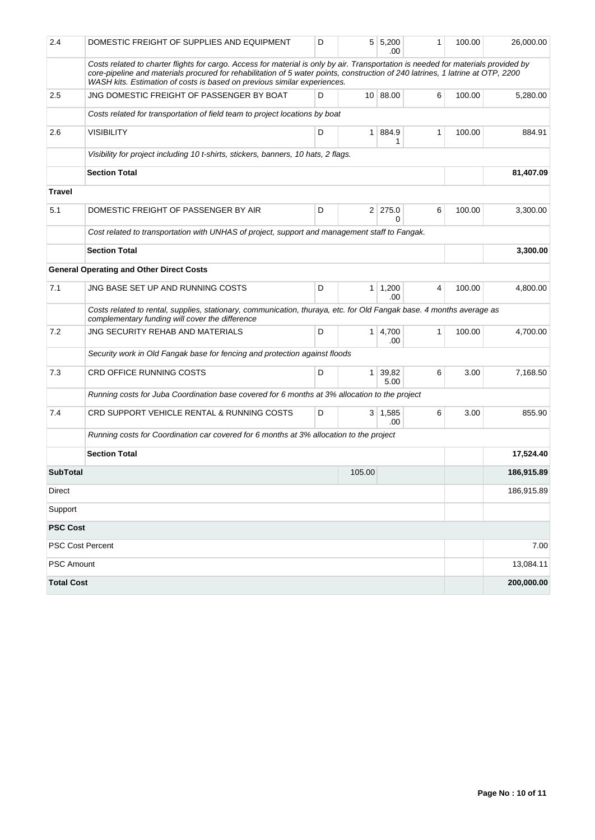| 2.4               | DOMESTIC FREIGHT OF SUPPLIES AND EQUIPMENT                                                                                                                                                                                                                                                                                                        | D |                | 5 5,200<br>.00         | 1 | 100.00 | 26,000.00  |
|-------------------|---------------------------------------------------------------------------------------------------------------------------------------------------------------------------------------------------------------------------------------------------------------------------------------------------------------------------------------------------|---|----------------|------------------------|---|--------|------------|
|                   | Costs related to charter flights for cargo. Access for material is only by air. Transportation is needed for materials provided by<br>core-pipeline and materials procured for rehabilitation of 5 water points, construction of 240 latrines, 1 latrine at OTP, 2200<br>WASH kits. Estimation of costs is based on previous similar experiences. |   |                |                        |   |        |            |
| 2.5               | JNG DOMESTIC FREIGHT OF PASSENGER BY BOAT                                                                                                                                                                                                                                                                                                         | D |                | 10   88.00             | 6 | 100.00 | 5,280.00   |
|                   | Costs related for transportation of field team to project locations by boat                                                                                                                                                                                                                                                                       |   |                |                        |   |        |            |
| 2.6               | <b>VISIBILITY</b>                                                                                                                                                                                                                                                                                                                                 | D | 1 <sup>1</sup> | 884.9<br>1             | 1 | 100.00 | 884.91     |
|                   | Visibility for project including 10 t-shirts, stickers, banners, 10 hats, 2 flags.                                                                                                                                                                                                                                                                |   |                |                        |   |        |            |
|                   | <b>Section Total</b>                                                                                                                                                                                                                                                                                                                              |   |                |                        |   |        | 81,407.09  |
| <b>Travel</b>     |                                                                                                                                                                                                                                                                                                                                                   |   |                |                        |   |        |            |
| 5.1               | DOMESTIC FREIGHT OF PASSENGER BY AIR                                                                                                                                                                                                                                                                                                              | D |                | $2 \mid 275.0$<br>0    | 6 | 100.00 | 3,300.00   |
|                   | Cost related to transportation with UNHAS of project, support and management staff to Fangak.                                                                                                                                                                                                                                                     |   |                |                        |   |        |            |
|                   | <b>Section Total</b>                                                                                                                                                                                                                                                                                                                              |   |                |                        |   |        | 3,300.00   |
|                   | <b>General Operating and Other Direct Costs</b>                                                                                                                                                                                                                                                                                                   |   |                |                        |   |        |            |
| 7.1               | JNG BASE SET UP AND RUNNING COSTS                                                                                                                                                                                                                                                                                                                 | D |                | $1 \mid 1,200$<br>.00. | 4 | 100.00 | 4,800.00   |
|                   | Costs related to rental, supplies, stationary, communication, thuraya, etc. for Old Fangak base. 4 months average as<br>complementary funding will cover the difference                                                                                                                                                                           |   |                |                        |   |        |            |
| 7.2               | JNG SECURITY REHAB AND MATERIALS                                                                                                                                                                                                                                                                                                                  | D |                | 1 4,700<br>.00         | 1 | 100.00 | 4,700.00   |
|                   | Security work in Old Fangak base for fencing and protection against floods                                                                                                                                                                                                                                                                        |   |                |                        |   |        |            |
| 7.3               | CRD OFFICE RUNNING COSTS                                                                                                                                                                                                                                                                                                                          | D | 1 <sup>1</sup> | 39,82<br>5.00          | 6 | 3.00   | 7,168.50   |
|                   | Running costs for Juba Coordination base covered for 6 months at 3% allocation to the project                                                                                                                                                                                                                                                     |   |                |                        |   |        |            |
| 7.4               | CRD SUPPORT VEHICLE RENTAL & RUNNING COSTS                                                                                                                                                                                                                                                                                                        | D |                | $3 \mid 1,585$<br>.00  | 6 | 3.00   | 855.90     |
|                   | Running costs for Coordination car covered for 6 months at 3% allocation to the project                                                                                                                                                                                                                                                           |   |                |                        |   |        |            |
|                   | <b>Section Total</b>                                                                                                                                                                                                                                                                                                                              |   |                |                        |   |        | 17,524.40  |
| <b>SubTotal</b>   |                                                                                                                                                                                                                                                                                                                                                   |   | 105.00         |                        |   |        | 186,915.89 |
| Direct            |                                                                                                                                                                                                                                                                                                                                                   |   |                |                        |   |        | 186,915.89 |
| Support           |                                                                                                                                                                                                                                                                                                                                                   |   |                |                        |   |        |            |
| <b>PSC Cost</b>   |                                                                                                                                                                                                                                                                                                                                                   |   |                |                        |   |        |            |
|                   | <b>PSC Cost Percent</b>                                                                                                                                                                                                                                                                                                                           |   |                |                        |   |        | 7.00       |
| <b>PSC Amount</b> |                                                                                                                                                                                                                                                                                                                                                   |   |                |                        |   |        | 13,084.11  |
| <b>Total Cost</b> |                                                                                                                                                                                                                                                                                                                                                   |   |                |                        |   |        | 200,000.00 |